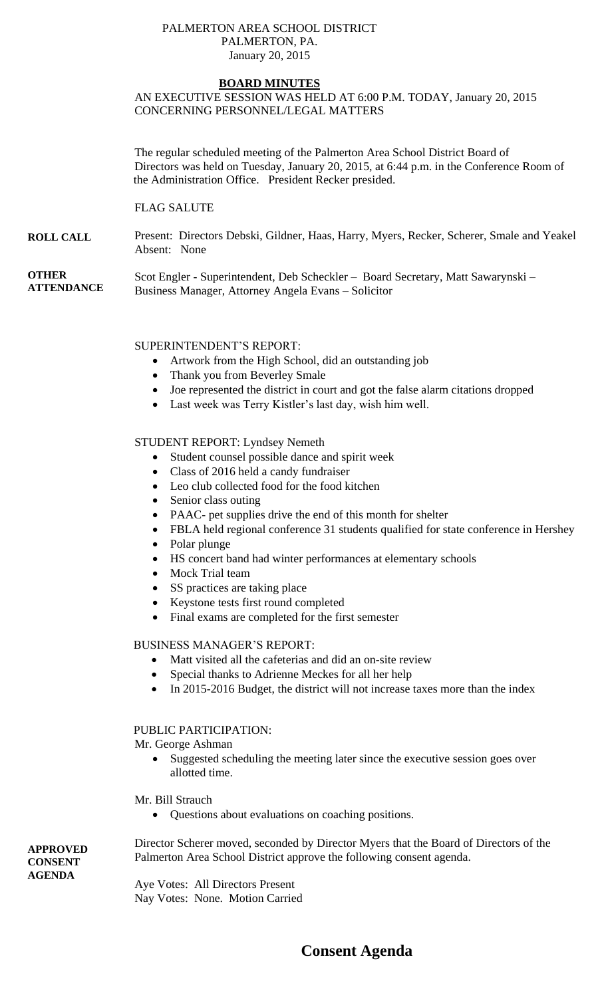#### PALMERTON AREA SCHOOL DISTRICT PALMERTON, PA. January 20, 2015

### **BOARD MINUTES**

# AN EXECUTIVE SESSION WAS HELD AT 6:00 P.M. TODAY, January 20, 2015 CONCERNING PERSONNEL/LEGAL MATTERS

The regular scheduled meeting of the Palmerton Area School District Board of Directors was held on Tuesday, January 20, 2015, at 6:44 p.m. in the Conference Room of the Administration Office. President Recker presided.

#### FLAG SALUTE

#### **ROLL CALL** Present: Directors Debski, Gildner, Haas, Harry, Myers, Recker, Scherer, Smale and Yeakel Absent: None

**OTHER ATTENDANCE** Scot Engler - Superintendent, Deb Scheckler – Board Secretary, Matt Sawarynski – Business Manager, Attorney Angela Evans – Solicitor

#### SUPERINTENDENT'S REPORT:

- Artwork from the High School, did an outstanding job
- Thank you from Beverley Smale
- Joe represented the district in court and got the false alarm citations dropped
- Last week was Terry Kistler's last day, wish him well.

#### STUDENT REPORT: Lyndsey Nemeth

- Student counsel possible dance and spirit week
- Class of 2016 held a candy fundraiser
- Leo club collected food for the food kitchen
- Senior class outing
- PAAC- pet supplies drive the end of this month for shelter
- FBLA held regional conference 31 students qualified for state conference in Hershey
- Polar plunge
- HS concert band had winter performances at elementary schools
- Mock Trial team
- SS practices are taking place
- Keystone tests first round completed
- Final exams are completed for the first semester

#### BUSINESS MANAGER'S REPORT:

- Matt visited all the cafeterias and did an on-site review
- Special thanks to Adrienne Meckes for all her help
- In 2015-2016 Budget, the district will not increase taxes more than the index

# PUBLIC PARTICIPATION:

Mr. George Ashman

• Suggested scheduling the meeting later since the executive session goes over allotted time.

Mr. Bill Strauch

Questions about evaluations on coaching positions.

Director Scherer moved, seconded by Director Myers that the Board of Directors of the Palmerton Area School District approve the following consent agenda.

Aye Votes: All Directors Present Nay Votes: None. Motion Carried

# **Consent Agenda**

**APPROVED CONSENT AGENDA**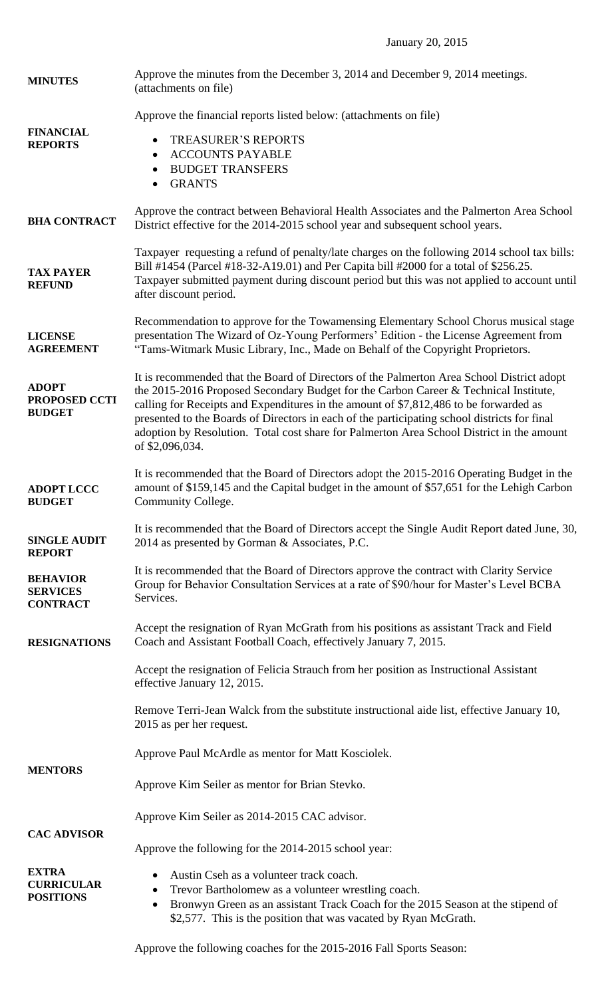January 20, 2015

| <b>MINUTES</b>                                        | Approve the minutes from the December 3, 2014 and December 9, 2014 meetings.<br>(attachments on file)                                                                                                                                                                                                                                                                                                                                                                                      |
|-------------------------------------------------------|--------------------------------------------------------------------------------------------------------------------------------------------------------------------------------------------------------------------------------------------------------------------------------------------------------------------------------------------------------------------------------------------------------------------------------------------------------------------------------------------|
| <b>FINANCIAL</b><br><b>REPORTS</b>                    | Approve the financial reports listed below: (attachments on file)<br><b>TREASURER'S REPORTS</b><br>٠<br><b>ACCOUNTS PAYABLE</b><br>$\bullet$<br><b>BUDGET TRANSFERS</b><br>$\bullet$<br><b>GRANTS</b><br>$\bullet$                                                                                                                                                                                                                                                                         |
| <b>BHA CONTRACT</b>                                   | Approve the contract between Behavioral Health Associates and the Palmerton Area School<br>District effective for the 2014-2015 school year and subsequent school years.                                                                                                                                                                                                                                                                                                                   |
| <b>TAX PAYER</b><br><b>REFUND</b>                     | Taxpayer requesting a refund of penalty/late charges on the following 2014 school tax bills:<br>Bill #1454 (Parcel #18-32-A19.01) and Per Capita bill #2000 for a total of \$256.25.<br>Taxpayer submitted payment during discount period but this was not applied to account until<br>after discount period.                                                                                                                                                                              |
| <b>LICENSE</b><br><b>AGREEMENT</b>                    | Recommendation to approve for the Towamensing Elementary School Chorus musical stage<br>presentation The Wizard of Oz-Young Performers' Edition - the License Agreement from<br>"Tams-Witmark Music Library, Inc., Made on Behalf of the Copyright Proprietors.                                                                                                                                                                                                                            |
| <b>ADOPT</b><br>PROPOSED CCTI<br><b>BUDGET</b>        | It is recommended that the Board of Directors of the Palmerton Area School District adopt<br>the 2015-2016 Proposed Secondary Budget for the Carbon Career & Technical Institute,<br>calling for Receipts and Expenditures in the amount of \$7,812,486 to be forwarded as<br>presented to the Boards of Directors in each of the participating school districts for final<br>adoption by Resolution. Total cost share for Palmerton Area School District in the amount<br>of \$2,096,034. |
| <b>ADOPT LCCC</b><br><b>BUDGET</b>                    | It is recommended that the Board of Directors adopt the 2015-2016 Operating Budget in the<br>amount of \$159,145 and the Capital budget in the amount of \$57,651 for the Lehigh Carbon<br>Community College.                                                                                                                                                                                                                                                                              |
| <b>SINGLE AUDIT</b><br><b>REPORT</b>                  | It is recommended that the Board of Directors accept the Single Audit Report dated June, 30,<br>2014 as presented by Gorman & Associates, P.C.                                                                                                                                                                                                                                                                                                                                             |
| <b>BEHAVIOR</b><br><b>SERVICES</b><br><b>CONTRACT</b> | It is recommended that the Board of Directors approve the contract with Clarity Service<br>Group for Behavior Consultation Services at a rate of \$90/hour for Master's Level BCBA<br>Services.                                                                                                                                                                                                                                                                                            |
| <b>RESIGNATIONS</b>                                   | Accept the resignation of Ryan McGrath from his positions as assistant Track and Field<br>Coach and Assistant Football Coach, effectively January 7, 2015.                                                                                                                                                                                                                                                                                                                                 |
|                                                       | Accept the resignation of Felicia Strauch from her position as Instructional Assistant<br>effective January 12, 2015.                                                                                                                                                                                                                                                                                                                                                                      |
|                                                       | Remove Terri-Jean Walck from the substitute instructional aide list, effective January 10,<br>2015 as per her request.                                                                                                                                                                                                                                                                                                                                                                     |
| <b>MENTORS</b>                                        | Approve Paul McArdle as mentor for Matt Kosciolek.                                                                                                                                                                                                                                                                                                                                                                                                                                         |
|                                                       | Approve Kim Seiler as mentor for Brian Stevko.                                                                                                                                                                                                                                                                                                                                                                                                                                             |
| <b>CAC ADVISOR</b>                                    | Approve Kim Seiler as 2014-2015 CAC advisor.                                                                                                                                                                                                                                                                                                                                                                                                                                               |
|                                                       | Approve the following for the 2014-2015 school year:                                                                                                                                                                                                                                                                                                                                                                                                                                       |
| <b>EXTRA</b><br><b>CURRICULAR</b><br><b>POSITIONS</b> | Austin Cseh as a volunteer track coach.<br>$\bullet$<br>Trevor Bartholomew as a volunteer wrestling coach.<br>$\bullet$<br>Bronwyn Green as an assistant Track Coach for the 2015 Season at the stipend of<br>$\bullet$<br>\$2,577. This is the position that was vacated by Ryan McGrath.                                                                                                                                                                                                 |

Approve the following coaches for the 2015-2016 Fall Sports Season: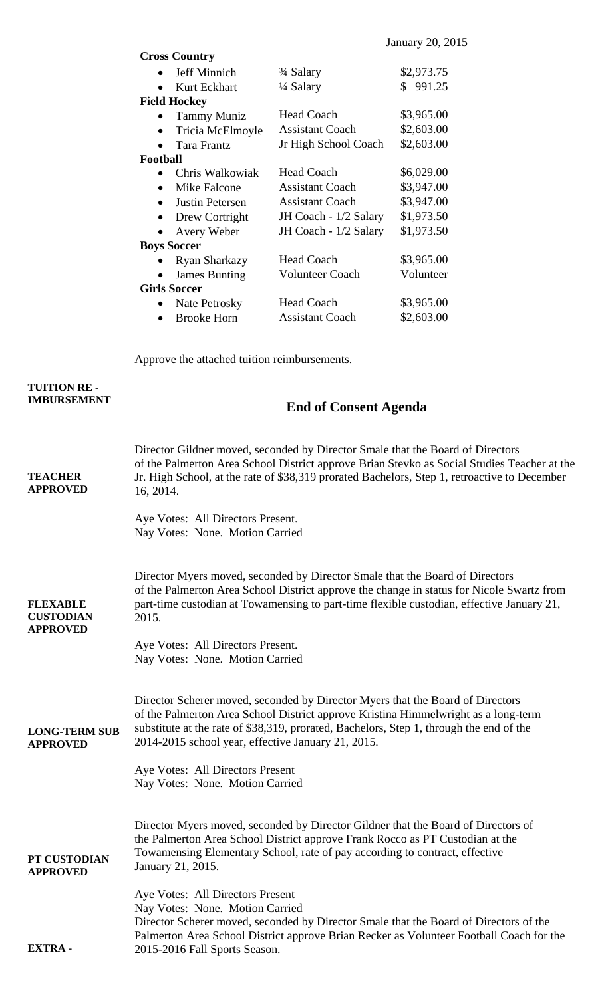| <b>Cross Country</b>        |                                    |            |
|-----------------------------|------------------------------------|------------|
| Jeff Minnich<br>$\bullet$   | <sup>3</sup> / <sub>4</sub> Salary | \$2,973.75 |
| Kurt Eckhart                | ¼ Salary                           | \$991.25   |
| <b>Field Hockey</b>         |                                    |            |
| <b>Tammy Muniz</b>          | <b>Head Coach</b>                  | \$3,965.00 |
| Tricia McElmoyle            | <b>Assistant Coach</b>             | \$2,603.00 |
| <b>Tara Frantz</b>          | Jr High School Coach               | \$2,603.00 |
| Football                    |                                    |            |
| Chris Walkowiak             | <b>Head Coach</b>                  | \$6,029.00 |
| Mike Falcone<br>$\bullet$   | <b>Assistant Coach</b>             | \$3,947.00 |
| <b>Justin Petersen</b>      | <b>Assistant Coach</b>             | \$3,947.00 |
| Drew Cortright<br>$\bullet$ | JH Coach - 1/2 Salary              | \$1,973.50 |
| Avery Weber                 | JH Coach - 1/2 Salary              | \$1,973.50 |
| <b>Boys Soccer</b>          |                                    |            |
| <b>Ryan Sharkazy</b>        | <b>Head Coach</b>                  | \$3,965.00 |
| <b>James Bunting</b>        | <b>Volunteer Coach</b>             | Volunteer  |
| <b>Girls Soccer</b>         |                                    |            |
| Nate Petrosky               | <b>Head Coach</b>                  | \$3,965.00 |
| <b>Brooke Horn</b>          | <b>Assistant Coach</b>             | \$2,603.00 |

Approve the attached tuition reimbursements.

**TUITION RE - IMBURSEMENT**

# **End of Consent Agenda**

| <b>TEACHER</b><br><b>APPROVED</b>                      | Director Gildner moved, seconded by Director Smale that the Board of Directors<br>of the Palmerton Area School District approve Brian Stevko as Social Studies Teacher at the<br>Jr. High School, at the rate of \$38,319 prorated Bachelors, Step 1, retroactive to December<br>16, 2014.<br>Aye Votes: All Directors Present.<br>Nay Votes: None. Motion Carried                           |
|--------------------------------------------------------|----------------------------------------------------------------------------------------------------------------------------------------------------------------------------------------------------------------------------------------------------------------------------------------------------------------------------------------------------------------------------------------------|
| <b>FLEXABLE</b><br><b>CUSTODIAN</b><br><b>APPROVED</b> | Director Myers moved, seconded by Director Smale that the Board of Directors<br>of the Palmerton Area School District approve the change in status for Nicole Swartz from<br>part-time custodian at Towamensing to part-time flexible custodian, effective January 21,<br>2015.<br>Aye Votes: All Directors Present.<br>Nay Votes: None. Motion Carried                                      |
| <b>LONG-TERM SUB</b><br><b>APPROVED</b>                | Director Scherer moved, seconded by Director Myers that the Board of Directors<br>of the Palmerton Area School District approve Kristina Himmelwright as a long-term<br>substitute at the rate of \$38,319, prorated, Bachelors, Step 1, through the end of the<br>2014-2015 school year, effective January 21, 2015.<br>Aye Votes: All Directors Present<br>Nay Votes: None. Motion Carried |
| PT CUSTODIAN<br><b>APPROVED</b>                        | Director Myers moved, seconded by Director Gildner that the Board of Directors of<br>the Palmerton Area School District approve Frank Rocco as PT Custodian at the<br>Towamensing Elementary School, rate of pay according to contract, effective<br>January 21, 2015.                                                                                                                       |
| <b>EXTRA-</b>                                          | Aye Votes: All Directors Present<br>Nay Votes: None. Motion Carried<br>Director Scherer moved, seconded by Director Smale that the Board of Directors of the<br>Palmerton Area School District approve Brian Recker as Volunteer Football Coach for the<br>2015-2016 Fall Sports Season.                                                                                                     |